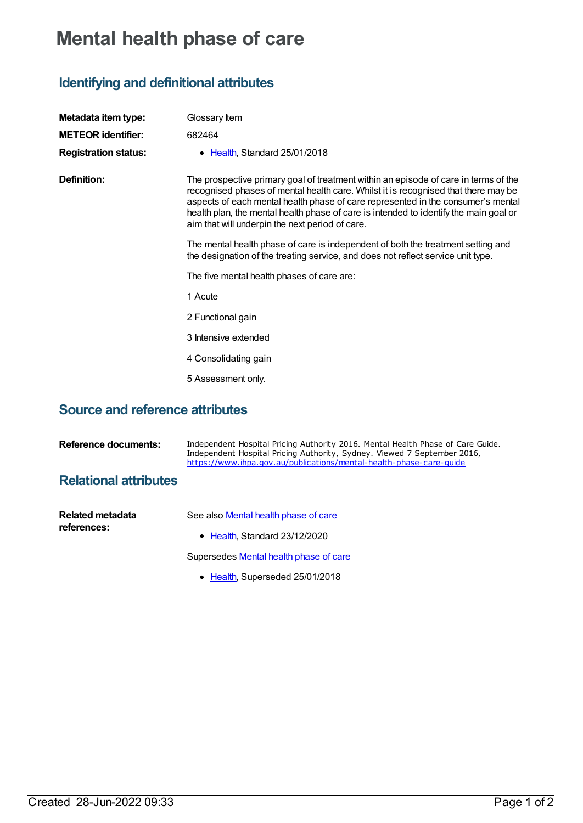## **Mental health phase of care**

## **Identifying and definitional attributes**

| Metadata item type:         | Glossary Item                                                                                                                                                                                                                                                                                                                                                                                             |
|-----------------------------|-----------------------------------------------------------------------------------------------------------------------------------------------------------------------------------------------------------------------------------------------------------------------------------------------------------------------------------------------------------------------------------------------------------|
| <b>METEOR identifier:</b>   | 682464                                                                                                                                                                                                                                                                                                                                                                                                    |
| <b>Registration status:</b> | Health, Standard 25/01/2018<br>$\bullet$                                                                                                                                                                                                                                                                                                                                                                  |
| Definition:                 | The prospective primary goal of treatment within an episode of care in terms of the<br>recognised phases of mental health care. Whilst it is recognised that there may be<br>aspects of each mental health phase of care represented in the consumer's mental<br>health plan, the mental health phase of care is intended to identify the main goal or<br>aim that will underpin the next period of care. |
|                             | The mental health phase of care is independent of both the treatment setting and<br>the designation of the treating service, and does not reflect service unit type.                                                                                                                                                                                                                                      |
|                             | The five mental health phases of care are:                                                                                                                                                                                                                                                                                                                                                                |
|                             | 1 Acute                                                                                                                                                                                                                                                                                                                                                                                                   |
|                             | 2 Functional gain                                                                                                                                                                                                                                                                                                                                                                                         |
|                             | 3 Intensive extended                                                                                                                                                                                                                                                                                                                                                                                      |
|                             | 4 Consolidating gain                                                                                                                                                                                                                                                                                                                                                                                      |
|                             | 5 Assessment only.                                                                                                                                                                                                                                                                                                                                                                                        |

## **Source and reference attributes**

| <b>Reference documents:</b>     | Independent Hospital Pricing Authority 2016. Mental Health Phase of Care Guide.<br>Independent Hospital Pricing Authority, Sydney. Viewed 7 September 2016,<br>https://www.ihpa.gov.au/publications/mental-health-phase-care-guide |
|---------------------------------|------------------------------------------------------------------------------------------------------------------------------------------------------------------------------------------------------------------------------------|
| <b>Relational attributes</b>    |                                                                                                                                                                                                                                    |
| Related metadata<br>references: | See also Mental health phase of care<br>• Health Standard 23/12/2020                                                                                                                                                               |

Supersedes **[Mental](https://meteor.aihw.gov.au/content/653243) health phase of care** 

• [Health](https://meteor.aihw.gov.au/RegistrationAuthority/12), Superseded 25/01/2018